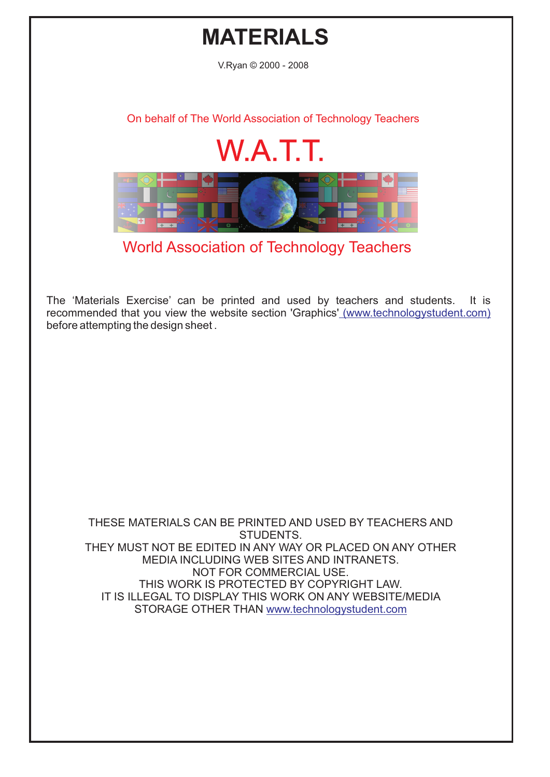